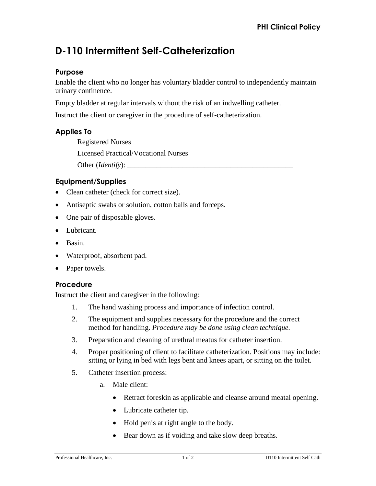# **D-110 Intermittent Self-Catheterization**

### **Purpose**

Enable the client who no longer has voluntary bladder control to independently maintain urinary continence.

Empty bladder at regular intervals without the risk of an indwelling catheter.

Instruct the client or caregiver in the procedure of self-catheterization.

## **Applies To**

Registered Nurses Licensed Practical/Vocational Nurses Other (*Identify*): \_\_\_\_\_\_\_\_\_\_\_\_\_\_\_\_\_\_\_\_\_\_\_\_\_\_\_\_\_\_\_\_\_\_\_\_\_\_\_\_\_\_\_\_\_

## **Equipment/Supplies**

- Clean catheter (check for correct size).
- Antiseptic swabs or solution, cotton balls and forceps.
- One pair of disposable gloves.
- Lubricant.
- Basin.
- Waterproof, absorbent pad.
- Paper towels.

#### **Procedure**

Instruct the client and caregiver in the following:

- 1. The hand washing process and importance of infection control.
- 2. The equipment and supplies necessary for the procedure and the correct method for handling. *Procedure may be done using clean technique.*
- 3. Preparation and cleaning of urethral meatus for catheter insertion.
- 4. Proper positioning of client to facilitate catheterization. Positions may include: sitting or lying in bed with legs bent and knees apart, or sitting on the toilet.
- 5. Catheter insertion process:
	- a. Male client:
		- Retract foreskin as applicable and cleanse around meatal opening.
		- Lubricate catheter tip.
		- Hold penis at right angle to the body.
		- Bear down as if voiding and take slow deep breaths.